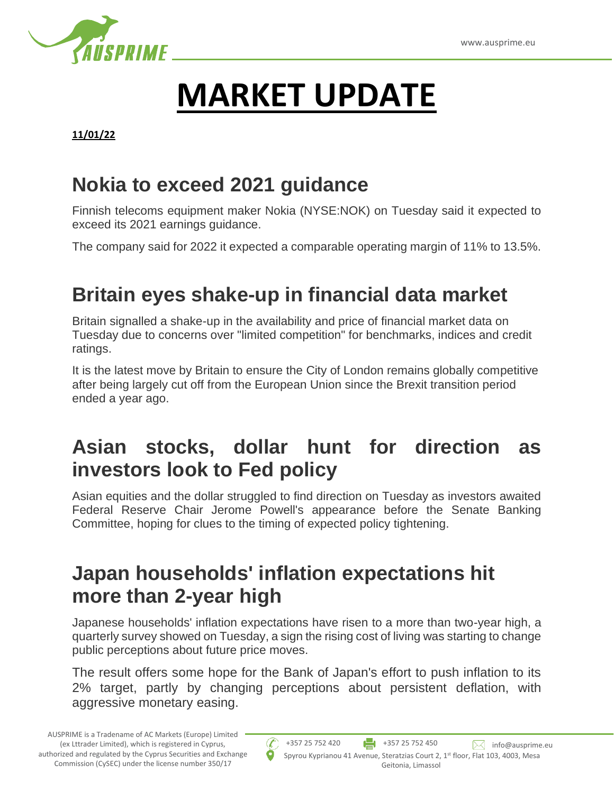

# **MARKET UPDATE**

#### **11/01/22**

#### **Nokia to exceed 2021 guidance**

Finnish telecoms equipment maker Nokia (NYSE:NOK) on Tuesday said it expected to exceed its 2021 earnings guidance.

The company said for 2022 it expected a comparable operating margin of 11% to 13.5%.

# **Britain eyes shake-up in financial data market**

Britain signalled a shake-up in the availability and price of financial market data on Tuesday due to concerns over "limited competition" for benchmarks, indices and credit ratings.

It is the latest move by Britain to ensure the City of London remains globally competitive after being largely cut off from the European Union since the Brexit transition period ended a year ago.

# **Asian stocks, dollar hunt for direction as investors look to Fed policy**

Asian equities and the dollar struggled to find direction on Tuesday as investors awaited Federal Reserve Chair Jerome Powell's appearance before the Senate Banking Committee, hoping for clues to the timing of expected policy tightening.

#### **Japan households' inflation expectations hit more than 2-year high**

Japanese households' inflation expectations have risen to a more than two-year high, a quarterly survey showed on Tuesday, a sign the rising cost of living was starting to change public perceptions about future price moves.

The result offers some hope for the Bank of Japan's effort to push inflation to its 2% target, partly by changing perceptions about persistent deflation, with aggressive monetary easing.